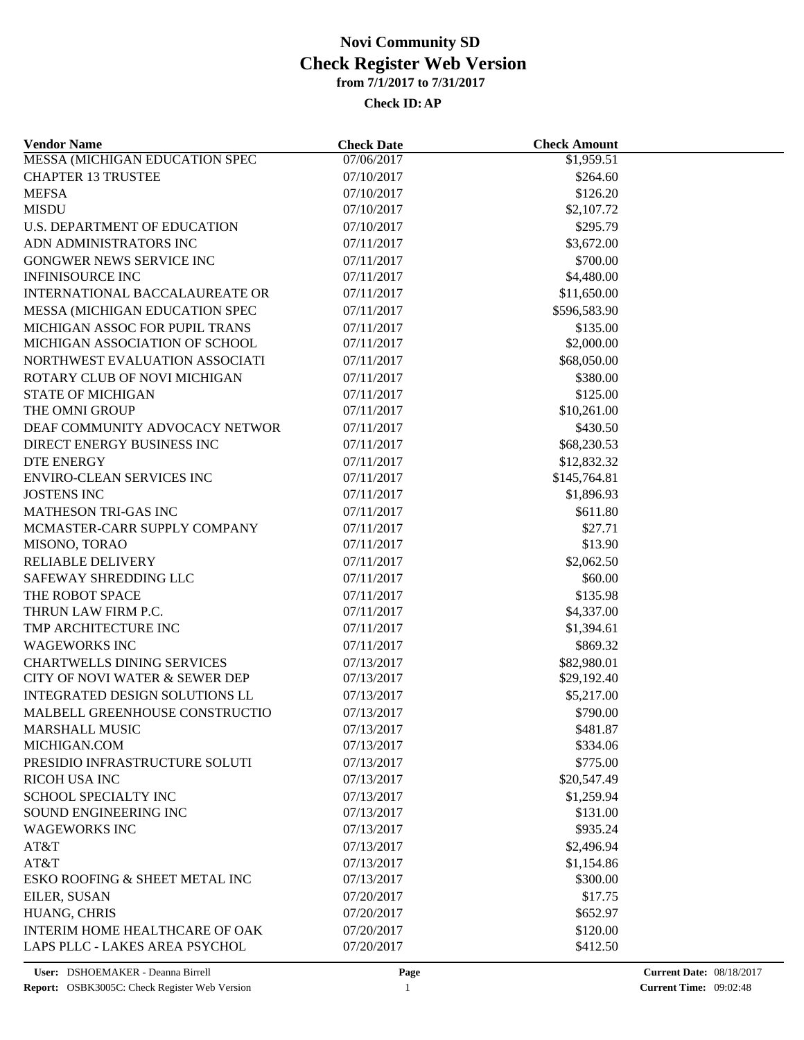#### **Check ID:AP**

| <b>Vendor Name</b>                    | <b>Check Date</b>        | <b>Check Amount</b>  |  |
|---------------------------------------|--------------------------|----------------------|--|
| <b>MESSA (MICHIGAN EDUCATION SPEC</b> | 07/06/2017               | \$1,959.51           |  |
| <b>CHAPTER 13 TRUSTEE</b>             | 07/10/2017               | \$264.60             |  |
| <b>MEFSA</b>                          | 07/10/2017               | \$126.20             |  |
| <b>MISDU</b>                          | 07/10/2017               | \$2,107.72           |  |
| U.S. DEPARTMENT OF EDUCATION          | 07/10/2017               | \$295.79             |  |
| ADN ADMINISTRATORS INC                | 07/11/2017               | \$3,672.00           |  |
| <b>GONGWER NEWS SERVICE INC</b>       | 07/11/2017               | \$700.00             |  |
| <b>INFINISOURCE INC</b>               | 07/11/2017               | \$4,480.00           |  |
| INTERNATIONAL BACCALAUREATE OR        | 07/11/2017               | \$11,650.00          |  |
| MESSA (MICHIGAN EDUCATION SPEC        | 07/11/2017               | \$596,583.90         |  |
| MICHIGAN ASSOC FOR PUPIL TRANS        | 07/11/2017               | \$135.00             |  |
| MICHIGAN ASSOCIATION OF SCHOOL        | 07/11/2017               | \$2,000.00           |  |
| NORTHWEST EVALUATION ASSOCIATI        | 07/11/2017               | \$68,050.00          |  |
| ROTARY CLUB OF NOVI MICHIGAN          | 07/11/2017               | \$380.00             |  |
| <b>STATE OF MICHIGAN</b>              | 07/11/2017               | \$125.00             |  |
| THE OMNI GROUP                        | 07/11/2017               | \$10,261.00          |  |
| DEAF COMMUNITY ADVOCACY NETWOR        | 07/11/2017               | \$430.50             |  |
| DIRECT ENERGY BUSINESS INC            | 07/11/2017               | \$68,230.53          |  |
| <b>DTE ENERGY</b>                     | 07/11/2017               | \$12,832.32          |  |
| ENVIRO-CLEAN SERVICES INC             | 07/11/2017               | \$145,764.81         |  |
| <b>JOSTENS INC</b>                    | 07/11/2017               | \$1,896.93           |  |
| <b>MATHESON TRI-GAS INC</b>           | 07/11/2017               | \$611.80             |  |
| MCMASTER-CARR SUPPLY COMPANY          | 07/11/2017               | \$27.71              |  |
| MISONO, TORAO                         | 07/11/2017               | \$13.90              |  |
| <b>RELIABLE DELIVERY</b>              | 07/11/2017               | \$2,062.50           |  |
| SAFEWAY SHREDDING LLC                 | 07/11/2017               | \$60.00              |  |
| THE ROBOT SPACE                       | 07/11/2017               | \$135.98             |  |
| THRUN LAW FIRM P.C.                   | 07/11/2017               | \$4,337.00           |  |
| TMP ARCHITECTURE INC                  | 07/11/2017               | \$1,394.61           |  |
| <b>WAGEWORKS INC</b>                  | 07/11/2017               | \$869.32             |  |
| <b>CHARTWELLS DINING SERVICES</b>     | 07/13/2017               | \$82,980.01          |  |
| CITY OF NOVI WATER & SEWER DEP        | 07/13/2017               | \$29,192.40          |  |
| INTEGRATED DESIGN SOLUTIONS LL        | 07/13/2017               | \$5,217.00           |  |
| MALBELL GREENHOUSE CONSTRUCTIO        | 07/13/2017               | \$790.00             |  |
|                                       |                          |                      |  |
| <b>MARSHALL MUSIC</b><br>MICHIGAN.COM | 07/13/2017<br>07/13/2017 | \$481.87<br>\$334.06 |  |
|                                       |                          | \$775.00             |  |
| PRESIDIO INFRASTRUCTURE SOLUTI        | 07/13/2017               |                      |  |
| <b>RICOH USA INC</b>                  | 07/13/2017               | \$20,547.49          |  |
| <b>SCHOOL SPECIALTY INC</b>           | 07/13/2017               | \$1,259.94           |  |
| SOUND ENGINEERING INC                 | 07/13/2017               | \$131.00             |  |
| <b>WAGEWORKS INC</b>                  | 07/13/2017               | \$935.24             |  |
| AT&T                                  | 07/13/2017               | \$2,496.94           |  |
| AT&T                                  | 07/13/2017               | \$1,154.86           |  |
| ESKO ROOFING & SHEET METAL INC        | 07/13/2017               | \$300.00             |  |
| EILER, SUSAN                          | 07/20/2017               | \$17.75              |  |
| HUANG, CHRIS                          | 07/20/2017               | \$652.97             |  |
| <b>INTERIM HOME HEALTHCARE OF OAK</b> | 07/20/2017               | \$120.00             |  |
| LAPS PLLC - LAKES AREA PSYCHOL        | 07/20/2017               | \$412.50             |  |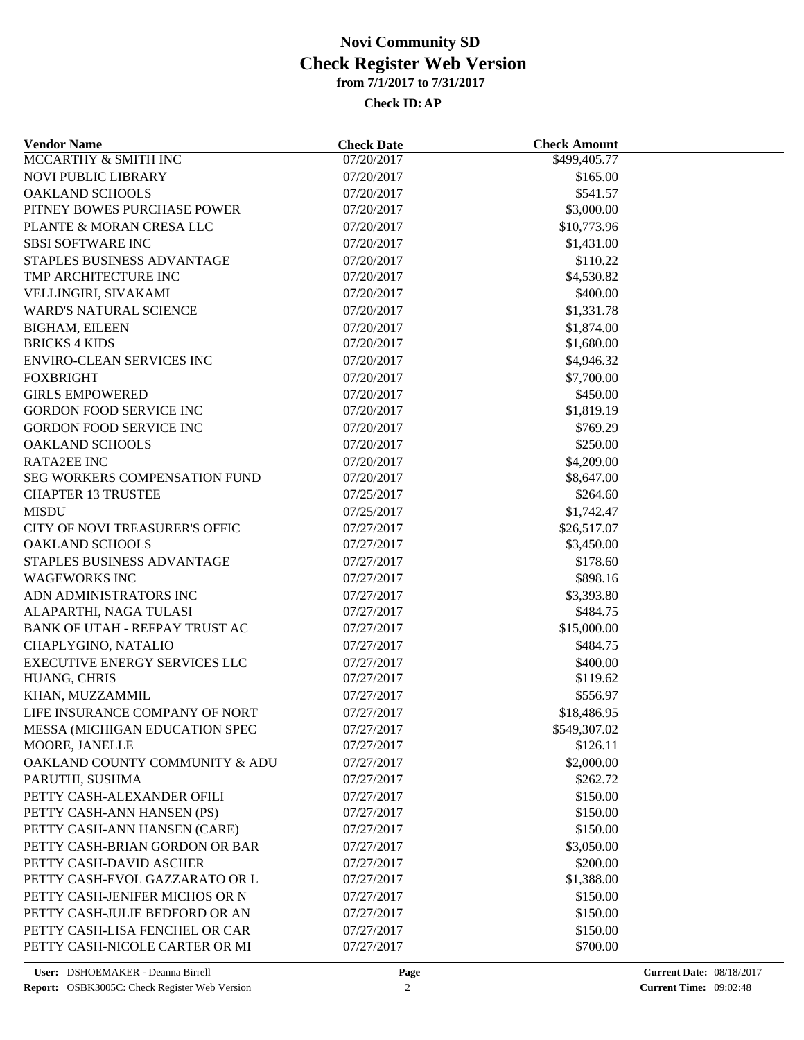### **Check ID:AP**

| <b>Vendor Name</b>                   | <b>Check Date</b> | <b>Check Amount</b> |  |
|--------------------------------------|-------------------|---------------------|--|
| MCCARTHY & SMITH INC                 | 07/20/2017        | \$499,405.77        |  |
| NOVI PUBLIC LIBRARY                  | 07/20/2017        | \$165.00            |  |
| <b>OAKLAND SCHOOLS</b>               | 07/20/2017        | \$541.57            |  |
| PITNEY BOWES PURCHASE POWER          | 07/20/2017        | \$3,000.00          |  |
| PLANTE & MORAN CRESA LLC             | 07/20/2017        | \$10,773.96         |  |
| <b>SBSI SOFTWARE INC</b>             | 07/20/2017        | \$1,431.00          |  |
| STAPLES BUSINESS ADVANTAGE           | 07/20/2017        | \$110.22            |  |
| TMP ARCHITECTURE INC                 | 07/20/2017        | \$4,530.82          |  |
| VELLINGIRI, SIVAKAMI                 | 07/20/2017        | \$400.00            |  |
| WARD'S NATURAL SCIENCE               | 07/20/2017        | \$1,331.78          |  |
| <b>BIGHAM, EILEEN</b>                | 07/20/2017        | \$1,874.00          |  |
| <b>BRICKS 4 KIDS</b>                 | 07/20/2017        | \$1,680.00          |  |
| <b>ENVIRO-CLEAN SERVICES INC</b>     | 07/20/2017        | \$4,946.32          |  |
| <b>FOXBRIGHT</b>                     | 07/20/2017        | \$7,700.00          |  |
| <b>GIRLS EMPOWERED</b>               | 07/20/2017        | \$450.00            |  |
| <b>GORDON FOOD SERVICE INC</b>       | 07/20/2017        | \$1,819.19          |  |
| <b>GORDON FOOD SERVICE INC</b>       | 07/20/2017        | \$769.29            |  |
| <b>OAKLAND SCHOOLS</b>               | 07/20/2017        | \$250.00            |  |
| <b>RATA2EE INC</b>                   | 07/20/2017        | \$4,209.00          |  |
| SEG WORKERS COMPENSATION FUND        | 07/20/2017        | \$8,647.00          |  |
| <b>CHAPTER 13 TRUSTEE</b>            | 07/25/2017        | \$264.60            |  |
| <b>MISDU</b>                         | 07/25/2017        | \$1,742.47          |  |
| CITY OF NOVI TREASURER'S OFFIC       | 07/27/2017        | \$26,517.07         |  |
| <b>OAKLAND SCHOOLS</b>               | 07/27/2017        | \$3,450.00          |  |
| STAPLES BUSINESS ADVANTAGE           | 07/27/2017        | \$178.60            |  |
| <b>WAGEWORKS INC</b>                 | 07/27/2017        | \$898.16            |  |
| ADN ADMINISTRATORS INC               | 07/27/2017        | \$3,393.80          |  |
| ALAPARTHI, NAGA TULASI               | 07/27/2017        | \$484.75            |  |
| BANK OF UTAH - REFPAY TRUST AC       | 07/27/2017        | \$15,000.00         |  |
| CHAPLYGINO, NATALIO                  | 07/27/2017        | \$484.75            |  |
| <b>EXECUTIVE ENERGY SERVICES LLC</b> | 07/27/2017        | \$400.00            |  |
| HUANG, CHRIS                         | 07/27/2017        | \$119.62            |  |
| KHAN, MUZZAMMIL                      | 07/27/2017        | \$556.97            |  |
| LIFE INSURANCE COMPANY OF NORT       | 07/27/2017        | \$18,486.95         |  |
| MESSA (MICHIGAN EDUCATION SPEC       | 07/27/2017        | \$549,307.02        |  |
| MOORE, JANELLE                       | 07/27/2017        | \$126.11            |  |
| OAKLAND COUNTY COMMUNITY & ADU       | 07/27/2017        | \$2,000.00          |  |
| PARUTHI, SUSHMA                      | 07/27/2017        | \$262.72            |  |
| PETTY CASH-ALEXANDER OFILI           | 07/27/2017        | \$150.00            |  |
| PETTY CASH-ANN HANSEN (PS)           | 07/27/2017        | \$150.00            |  |
| PETTY CASH-ANN HANSEN (CARE)         | 07/27/2017        | \$150.00            |  |
| PETTY CASH-BRIAN GORDON OR BAR       | 07/27/2017        | \$3,050.00          |  |
| PETTY CASH-DAVID ASCHER              | 07/27/2017        | \$200.00            |  |
| PETTY CASH-EVOL GAZZARATO OR L       | 07/27/2017        | \$1,388.00          |  |
| PETTY CASH-JENIFER MICHOS OR N       | 07/27/2017        | \$150.00            |  |
| PETTY CASH-JULIE BEDFORD OR AN       | 07/27/2017        | \$150.00            |  |
| PETTY CASH-LISA FENCHEL OR CAR       | 07/27/2017        | \$150.00            |  |
| PETTY CASH-NICOLE CARTER OR MI       | 07/27/2017        | \$700.00            |  |
|                                      |                   |                     |  |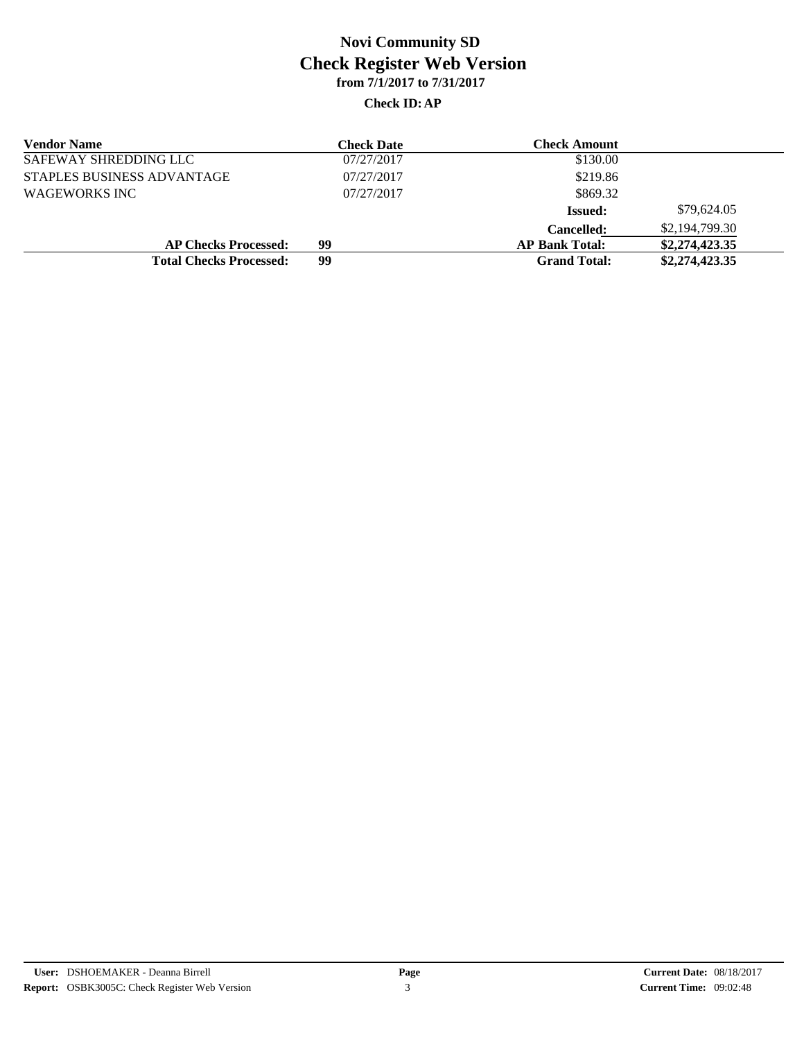#### **Check ID:AP**

| <b>Vendor Name</b>             | <b>Check Date</b> | <b>Check Amount</b>   |                |
|--------------------------------|-------------------|-----------------------|----------------|
| SAFEWAY SHREDDING LLC          | 07/27/2017        | \$130.00              |                |
| STAPLES BUSINESS ADVANTAGE     | 07/27/2017        | \$219.86              |                |
| WAGEWORKS INC                  | 07/27/2017        | \$869.32              |                |
|                                |                   | <b>Issued:</b>        | \$79,624.05    |
|                                |                   | <b>Cancelled:</b>     | \$2,194,799.30 |
| <b>AP Checks Processed:</b>    | 99                | <b>AP Bank Total:</b> | \$2,274,423.35 |
| <b>Total Checks Processed:</b> | 99                | <b>Grand Total:</b>   | \$2,274,423.35 |